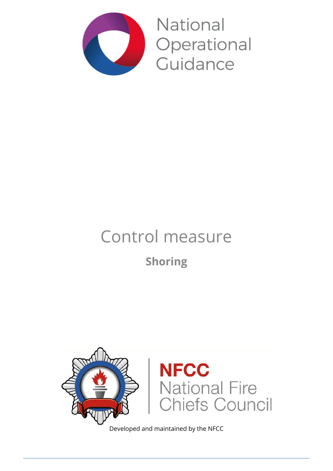

**National** Operational Guidance

# Control measure **Shoring**



Developed and maintained by the NFCC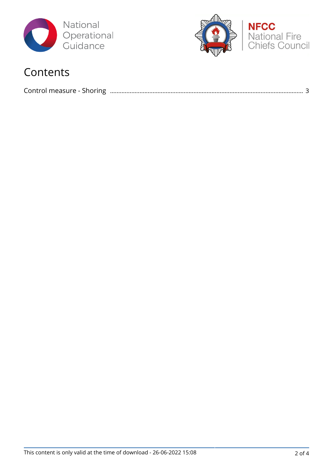



### Contents

|--|--|--|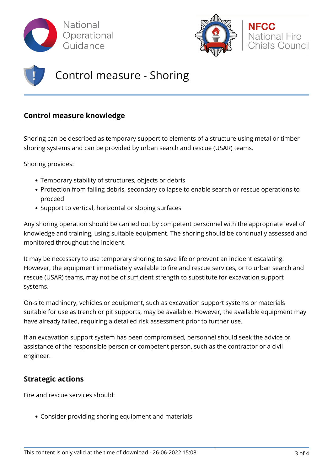



## Control measure - Shoring

#### **Control measure knowledge**

Shoring can be described as temporary support to elements of a structure using metal or timber shoring systems and can be provided by urban search and rescue (USAR) teams.

Shoring provides:

- Temporary stability of structures, objects or debris
- Protection from falling debris, secondary collapse to enable search or rescue operations to proceed
- Support to vertical, horizontal or sloping surfaces

Any shoring operation should be carried out by competent personnel with the appropriate level of knowledge and training, using suitable equipment. The shoring should be continually assessed and monitored throughout the incident.

It may be necessary to use temporary shoring to save life or prevent an incident escalating. However, the equipment immediately available to fire and rescue services, or to urban search and rescue (USAR) teams, may not be of sufficient strength to substitute for excavation support systems.

On-site machinery, vehicles or equipment, such as excavation support systems or materials suitable for use as trench or pit supports, may be available. However, the available equipment may have already failed, requiring a detailed risk assessment prior to further use.

If an excavation support system has been compromised, personnel should seek the advice or assistance of the responsible person or competent person, such as the contractor or a civil engineer.

#### **Strategic actions**

Fire and rescue services should:

Consider providing shoring equipment and materials